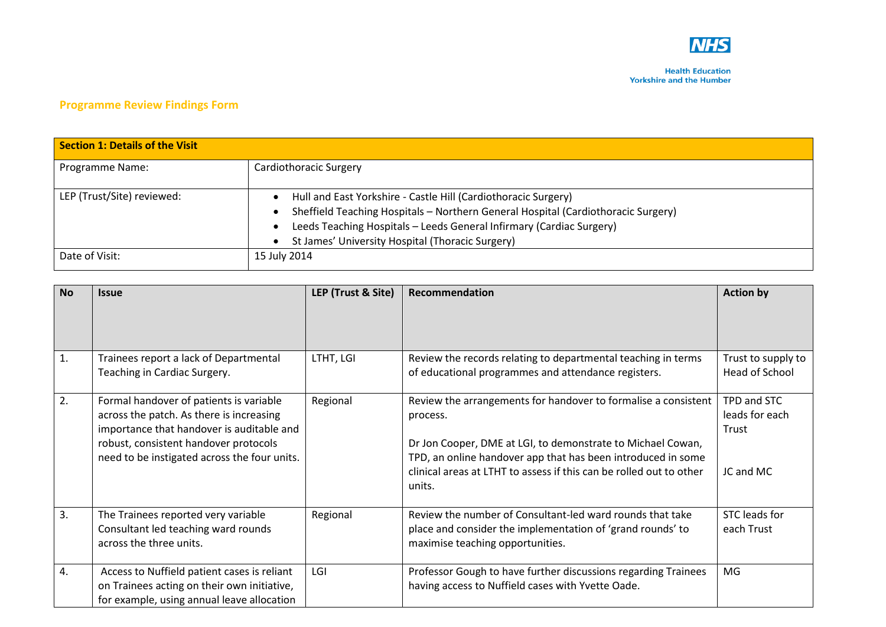

## **Programme Review Findings Form**

| <b>Section 1: Details of the Visit</b> |                                                                                                                                                                                                                                                                                 |  |  |
|----------------------------------------|---------------------------------------------------------------------------------------------------------------------------------------------------------------------------------------------------------------------------------------------------------------------------------|--|--|
| Programme Name:                        | Cardiothoracic Surgery                                                                                                                                                                                                                                                          |  |  |
| LEP (Trust/Site) reviewed:             | Hull and East Yorkshire - Castle Hill (Cardiothoracic Surgery)<br>Sheffield Teaching Hospitals - Northern General Hospital (Cardiothoracic Surgery)<br>Leeds Teaching Hospitals - Leeds General Infirmary (Cardiac Surgery)<br>St James' University Hospital (Thoracic Surgery) |  |  |
| Date of Visit:                         | 15 July 2014                                                                                                                                                                                                                                                                    |  |  |

| <b>No</b> | <b>Issue</b>                                                                                                                                                                                                              | LEP (Trust & Site) | Recommendation                                                                                                                                                                                                                                                                             | <b>Action by</b>                                    |
|-----------|---------------------------------------------------------------------------------------------------------------------------------------------------------------------------------------------------------------------------|--------------------|--------------------------------------------------------------------------------------------------------------------------------------------------------------------------------------------------------------------------------------------------------------------------------------------|-----------------------------------------------------|
| 1.        | Trainees report a lack of Departmental<br>Teaching in Cardiac Surgery.                                                                                                                                                    | LTHT, LGI          | Review the records relating to departmental teaching in terms<br>of educational programmes and attendance registers.                                                                                                                                                                       | Trust to supply to<br>Head of School                |
| 2.        | Formal handover of patients is variable<br>across the patch. As there is increasing<br>importance that handover is auditable and<br>robust, consistent handover protocols<br>need to be instigated across the four units. | Regional           | Review the arrangements for handover to formalise a consistent<br>process.<br>Dr Jon Cooper, DME at LGI, to demonstrate to Michael Cowan,<br>TPD, an online handover app that has been introduced in some<br>clinical areas at LTHT to assess if this can be rolled out to other<br>units. | TPD and STC<br>leads for each<br>Trust<br>JC and MC |
| 3.        | The Trainees reported very variable<br>Consultant led teaching ward rounds<br>across the three units.                                                                                                                     | Regional           | Review the number of Consultant-led ward rounds that take<br>place and consider the implementation of 'grand rounds' to<br>maximise teaching opportunities.                                                                                                                                | STC leads for<br>each Trust                         |
| 4.        | Access to Nuffield patient cases is reliant<br>on Trainees acting on their own initiative,<br>for example, using annual leave allocation                                                                                  | LGI                | Professor Gough to have further discussions regarding Trainees<br>having access to Nuffield cases with Yvette Oade.                                                                                                                                                                        | MG                                                  |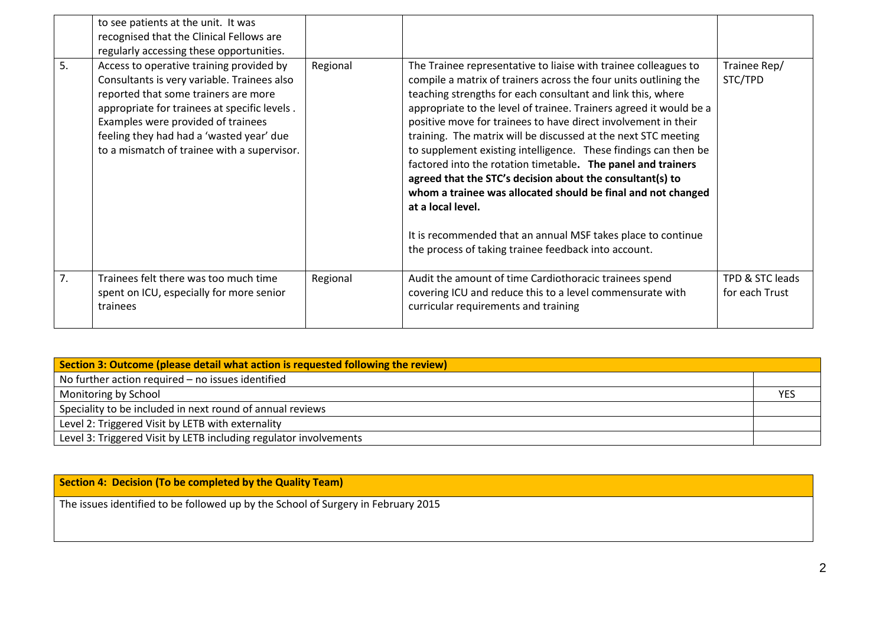|    | to see patients at the unit. It was<br>recognised that the Clinical Fellows are<br>regularly accessing these opportunities.                                                                                                                                                                                      |          |                                                                                                                                                                                                                                                                                                                                                                                                                                                                                                                                                                                                                                                                                                                                                                                                                           |                                   |
|----|------------------------------------------------------------------------------------------------------------------------------------------------------------------------------------------------------------------------------------------------------------------------------------------------------------------|----------|---------------------------------------------------------------------------------------------------------------------------------------------------------------------------------------------------------------------------------------------------------------------------------------------------------------------------------------------------------------------------------------------------------------------------------------------------------------------------------------------------------------------------------------------------------------------------------------------------------------------------------------------------------------------------------------------------------------------------------------------------------------------------------------------------------------------------|-----------------------------------|
| 5. | Access to operative training provided by<br>Consultants is very variable. Trainees also<br>reported that some trainers are more<br>appropriate for trainees at specific levels.<br>Examples were provided of trainees<br>feeling they had had a 'wasted year' due<br>to a mismatch of trainee with a supervisor. | Regional | The Trainee representative to liaise with trainee colleagues to<br>compile a matrix of trainers across the four units outlining the<br>teaching strengths for each consultant and link this, where<br>appropriate to the level of trainee. Trainers agreed it would be a<br>positive move for trainees to have direct involvement in their<br>training. The matrix will be discussed at the next STC meeting<br>to supplement existing intelligence. These findings can then be<br>factored into the rotation timetable. The panel and trainers<br>agreed that the STC's decision about the consultant(s) to<br>whom a trainee was allocated should be final and not changed<br>at a local level.<br>It is recommended that an annual MSF takes place to continue<br>the process of taking trainee feedback into account. | Trainee Rep/<br>STC/TPD           |
| 7. | Trainees felt there was too much time<br>spent on ICU, especially for more senior<br>trainees                                                                                                                                                                                                                    | Regional | Audit the amount of time Cardiothoracic trainees spend<br>covering ICU and reduce this to a level commensurate with<br>curricular requirements and training                                                                                                                                                                                                                                                                                                                                                                                                                                                                                                                                                                                                                                                               | TPD & STC leads<br>for each Trust |

| Section 3: Outcome (please detail what action is requested following the review) |     |  |
|----------------------------------------------------------------------------------|-----|--|
| No further action required - no issues identified                                |     |  |
| Monitoring by School                                                             | YES |  |
| Speciality to be included in next round of annual reviews                        |     |  |
| Level 2: Triggered Visit by LETB with externality                                |     |  |
| Level 3: Triggered Visit by LETB including regulator involvements                |     |  |

| Section 4: Decision (To be completed by the Quality Team)                         |  |
|-----------------------------------------------------------------------------------|--|
| The issues identified to be followed up by the School of Surgery in February 2015 |  |